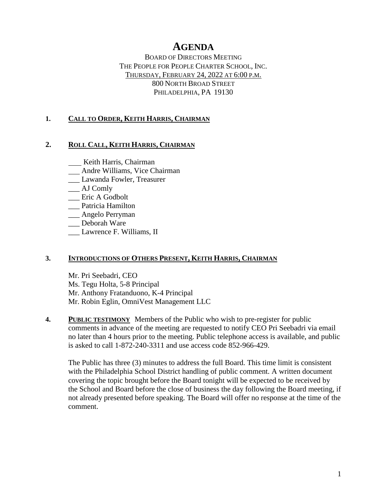# **AGENDA**

BOARD OF DIRECTORS MEETING THE PEOPLE FOR PEOPLE CHARTER SCHOOL, INC. THURSDAY, FEBRUARY 24, 2022 AT 6:00 P.M. 800 NORTH BROAD STREET PHILADELPHIA, PA 19130

## **1. CALL TO ORDER, KEITH HARRIS, CHAIRMAN**

### **2. ROLL CALL, KEITH HARRIS, CHAIRMAN**

**Keith Harris, Chairman** 

- Andre Williams, Vice Chairman
- \_\_\_ Lawanda Fowler, Treasurer
- \_\_\_ AJ Comly
- \_\_\_ Eric A Godbolt
- \_\_\_ Patricia Hamilton
- \_\_\_ Angelo Perryman
- \_\_\_ Deborah Ware
- Lawrence F. Williams, II

### **3. INTRODUCTIONS OF OTHERS PRESENT, KEITH HARRIS, CHAIRMAN**

Mr. Pri Seebadri, CEO Ms. Tegu Holta, 5-8 Principal Mr. Anthony Fratanduono, K-4 Principal Mr. Robin Eglin, OmniVest Management LLC

**4. PUBLIC TESTIMONY** Members of the Public who wish to pre-register for public comments in advance of the meeting are requested to notify CEO Pri Seebadri via email no later than 4 hours prior to the meeting. Public telephone access is available, and public is asked to call 1-872-240-3311 and use access code 852-966-429.

The Public has three (3) minutes to address the full Board. This time limit is consistent with the Philadelphia School District handling of public comment. A written document covering the topic brought before the Board tonight will be expected to be received by the School and Board before the close of business the day following the Board meeting, if not already presented before speaking. The Board will offer no response at the time of the comment.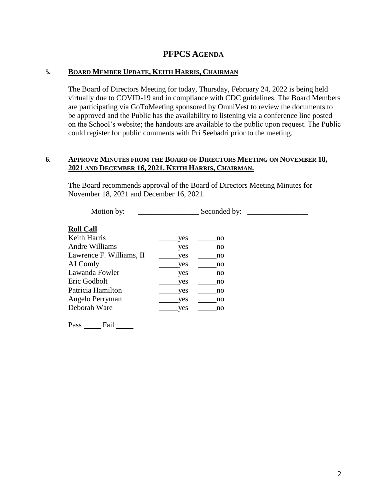## **PFPCS AGENDA**

### **5. BOARD MEMBER UPDATE, KEITH HARRIS, CHAIRMAN**

The Board of Directors Meeting for today, Thursday, February 24, 2022 is being held virtually due to COVID-19 and in compliance with CDC guidelines. The Board Members are participating via GoToMeeting sponsored by OmniVest to review the documents to be approved and the Public has the availability to listening via a conference line posted on the School's website; the handouts are available to the public upon request. The Public could register for public comments with Pri Seebadri prior to the meeting.

#### **6. APPROVE MINUTES FROM THE BOARD OF DIRECTORS MEETING ON NOVEMBER 18, 2021 AND DECEMBER 16, 2021. KEITH HARRIS, CHAIRMAN.**

The Board recommends approval of the Board of Directors Meeting Minutes for November 18, 2021 and December 16, 2021.

| Motion by:               | Seconded by: |  |
|--------------------------|--------------|--|
| <b>Roll Call</b>         |              |  |
| Keith Harris             | yes<br>no    |  |
| Andre Williams           | yes<br>no    |  |
| Lawrence F. Williams, II | yes<br>no    |  |
| AJ Comly                 | yes<br>no    |  |
| Lawanda Fowler           | yes<br>no    |  |
| Eric Godbolt             | yes<br>no    |  |
| Patricia Hamilton        | yes<br>no    |  |
| Angelo Perryman          | yes<br>no    |  |
| Deborah Ware             | yes<br>no    |  |
|                          |              |  |

Pass \_\_\_\_\_\_\_ Fail \_\_\_\_\_\_\_\_\_\_\_